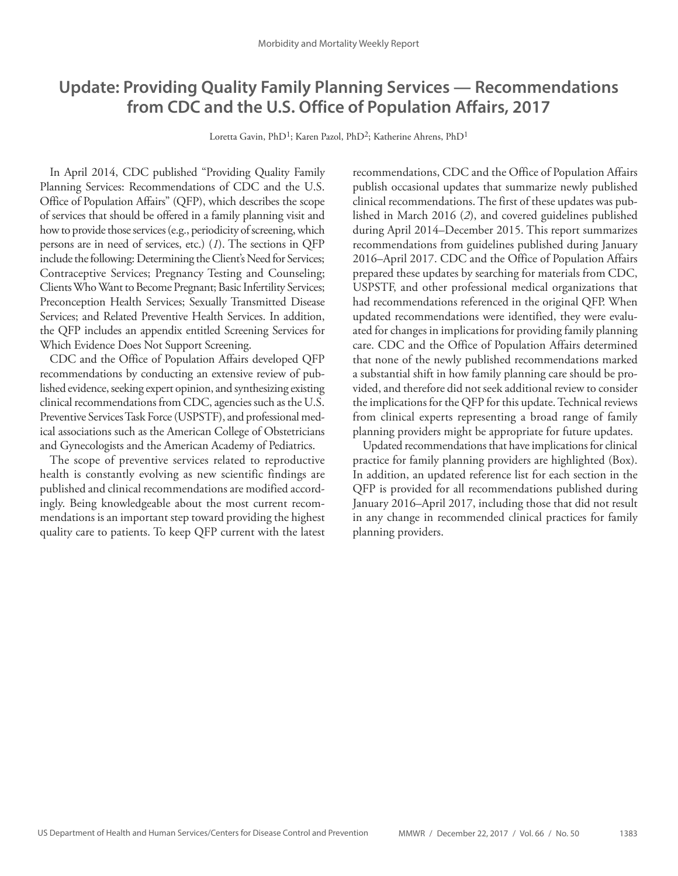# **Update: Providing Quality Family Planning Services — Recommendations from CDC and the U.S. Office of Population Affairs, 2017**

Loretta Gavin, PhD<sup>1</sup>; Karen Pazol, PhD<sup>2</sup>; Katherine Ahrens, PhD<sup>1</sup>

In April 2014, CDC published "Providing Quality Family Planning Services: Recommendations of CDC and the U.S. Office of Population Affairs" (QFP), which describes the scope of services that should be offered in a family planning visit and how to provide those services (e.g., periodicity of screening, which persons are in need of services, etc.) (*1*). The sections in QFP include the following: Determining the Client's Need for Services; Contraceptive Services; Pregnancy Testing and Counseling; Clients Who Want to Become Pregnant; Basic Infertility Services; Preconception Health Services; Sexually Transmitted Disease Services; and Related Preventive Health Services. In addition, the QFP includes an appendix entitled Screening Services for Which Evidence Does Not Support Screening.

CDC and the Office of Population Affairs developed QFP recommendations by conducting an extensive review of published evidence, seeking expert opinion, and synthesizing existing clinical recommendations from CDC, agencies such as the U.S. Preventive Services Task Force (USPSTF), and professional medical associations such as the American College of Obstetricians and Gynecologists and the American Academy of Pediatrics.

The scope of preventive services related to reproductive health is constantly evolving as new scientific findings are published and clinical recommendations are modified accordingly. Being knowledgeable about the most current recommendations is an important step toward providing the highest quality care to patients. To keep QFP current with the latest recommendations, CDC and the Office of Population Affairs publish occasional updates that summarize newly published clinical recommendations. The first of these updates was published in March 2016 (*2*), and covered guidelines published during April 2014–December 2015. This report summarizes recommendations from guidelines published during January 2016–April 2017. CDC and the Office of Population Affairs prepared these updates by searching for materials from CDC, USPSTF, and other professional medical organizations that had recommendations referenced in the original QFP. When updated recommendations were identified, they were evaluated for changes in implications for providing family planning care. CDC and the Office of Population Affairs determined that none of the newly published recommendations marked a substantial shift in how family planning care should be provided, and therefore did not seek additional review to consider the implications for the QFP for this update. Technical reviews from clinical experts representing a broad range of family planning providers might be appropriate for future updates.

Updated recommendations that have implications for clinical practice for family planning providers are highlighted (Box). In addition, an updated reference list for each section in the QFP is provided for all recommendations published during January 2016–April 2017, including those that did not result in any change in recommended clinical practices for family planning providers.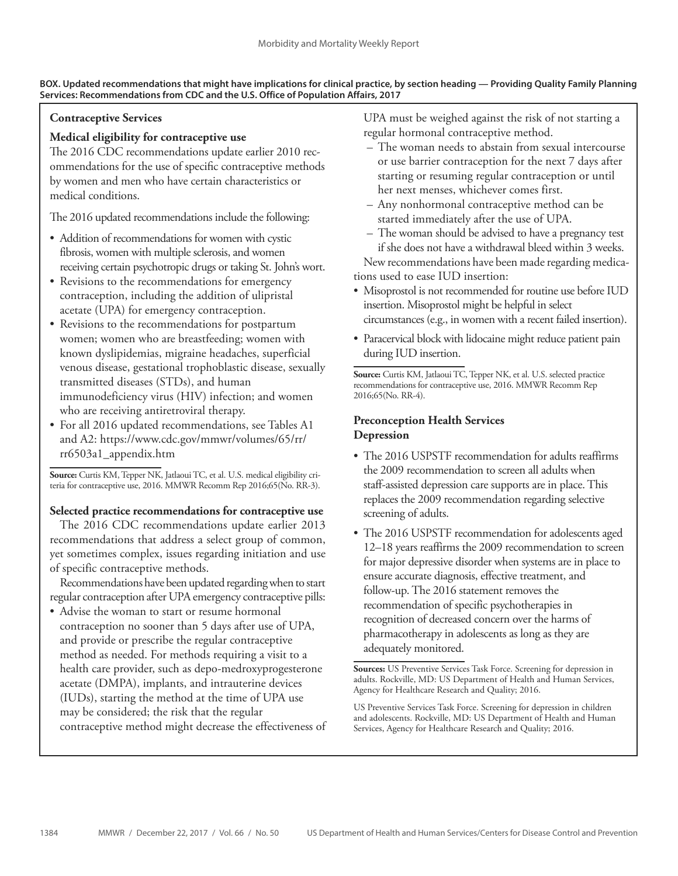### **BOX. Updated recommendations that might have implications for clinical practice, by section heading — Providing Quality Family Planning Services: Recommendations from CDC and the U.S. Office of Population Affairs, 2017**

# **Contraceptive Services**

# **Medical eligibility for contraceptive use**

The 2016 CDC recommendations update earlier 2010 recommendations for the use of specific contraceptive methods by women and men who have certain characteristics or medical conditions.

The 2016 updated recommendations include the following:

- Addition of recommendations for women with cystic fibrosis, women with multiple sclerosis, and women receiving certain psychotropic drugs or taking St. John's wort.
- Revisions to the recommendations for emergency contraception, including the addition of ulipristal acetate (UPA) for emergency contraception.
- Revisions to the recommendations for postpartum women; women who are breastfeeding; women with known dyslipidemias, migraine headaches, superficial venous disease, gestational trophoblastic disease, sexually transmitted diseases (STDs), and human immunodeficiency virus (HIV) infection; and women who are receiving antiretroviral therapy.
- For all 2016 updated recommendations, see Tables A1 and A2: https://www.cdc.gov/mmwr/volumes/65/rr/ rr6503a1\_appendix.htm

**Source:** Curtis KM, Tepper NK, Jatlaoui TC, et al. U.S. medical eligibility criteria for contraceptive use, 2016. MMWR Recomm Rep 2016;65(No. RR-3).

## **Selected practice recommendations for contraceptive use**

The 2016 CDC recommendations update earlier 2013 recommendations that address a select group of common, yet sometimes complex, issues regarding initiation and use of specific contraceptive methods.

Recommendations have been updated regarding when to start regular contraception after UPA emergency contraceptive pills:

• Advise the woman to start or resume hormonal contraception no sooner than 5 days after use of UPA, and provide or prescribe the regular contraceptive method as needed. For methods requiring a visit to a health care provider, such as depo-medroxyprogesterone acetate (DMPA), implants, and intrauterine devices (IUDs), starting the method at the time of UPA use may be considered; the risk that the regular contraceptive method might decrease the effectiveness of UPA must be weighed against the risk of not starting a regular hormonal contraceptive method.

- The woman needs to abstain from sexual intercourse or use barrier contraception for the next 7 days after starting or resuming regular contraception or until her next menses, whichever comes first.
- Any nonhormonal contraceptive method can be started immediately after the use of UPA.
- The woman should be advised to have a pregnancy test if she does not have a withdrawal bleed within 3 weeks. New recommendations have been made regarding medications used to ease IUD insertion:
- Misoprostol is not recommended for routine use before IUD insertion. Misoprostol might be helpful in select circumstances (e.g., in women with a recent failed insertion).
- Paracervical block with lidocaine might reduce patient pain during IUD insertion.

**Source:** Curtis KM, Jatlaoui TC, Tepper NK, et al. U.S. selected practice recommendations for contraceptive use, 2016. MMWR Recomm Rep 2016;65(No. RR-4).

# **Preconception Health Services Depression**

- The 2016 USPSTF recommendation for adults reaffirms the 2009 recommendation to screen all adults when staff-assisted depression care supports are in place. This replaces the 2009 recommendation regarding selective screening of adults.
- The 2016 USPSTF recommendation for adolescents aged 12–18 years reaffirms the 2009 recommendation to screen for major depressive disorder when systems are in place to ensure accurate diagnosis, effective treatment, and follow-up. The 2016 statement removes the recommendation of specific psychotherapies in recognition of decreased concern over the harms of pharmacotherapy in adolescents as long as they are adequately monitored.

**Sources:** US Preventive Services Task Force. Screening for depression in adults. Rockville, MD: US Department of Health and Human Services, Agency for Healthcare Research and Quality; 2016.

US Preventive Services Task Force. Screening for depression in children and adolescents. Rockville, MD: US Department of Health and Human Services, Agency for Healthcare Research and Quality; 2016.